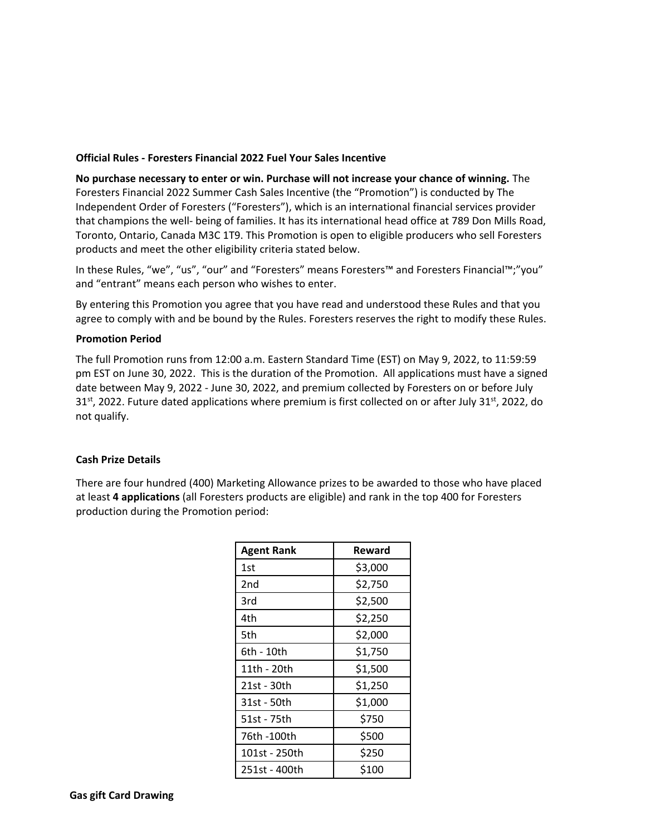## **Official Rules - Foresters Financial 2022 Fuel Your Sales Incentive**

**No purchase necessary to enter or win. Purchase will not increase your chance of winning.** The Foresters Financial 2022 Summer Cash Sales Incentive (the "Promotion") is conducted by The Independent Order of Foresters ("Foresters"), which is an international financial services provider that champions the well‐ being of families. It has its international head office at 789 Don Mills Road, Toronto, Ontario, Canada M3C 1T9. This Promotion is open to eligible producers who sell Foresters products and meet the other eligibility criteria stated below.

In these Rules, "we", "us", "our" and "Foresters" means Foresters™ and Foresters Financial™;"you" and "entrant" means each person who wishes to enter.

By entering this Promotion you agree that you have read and understood these Rules and that you agree to comply with and be bound by the Rules. Foresters reserves the right to modify these Rules.

## **Promotion Period**

The full Promotion runs from 12:00 a.m. Eastern Standard Time (EST) on May 9, 2022, to 11:59:59 pm EST on June 30, 2022. This is the duration of the Promotion. All applications must have a signed date between May 9, 2022 - June 30, 2022, and premium collected by Foresters on or before July  $31<sup>st</sup>$ , 2022. Future dated applications where premium is first collected on or after July 31<sup>st</sup>, 2022, do not qualify.

## **Cash Prize Details**

There are four hundred (400) Marketing Allowance prizes to be awarded to those who have placed at least **4 applications** (all Foresters products are eligible) and rank in the top 400 for Foresters production during the Promotion period:

| <b>Agent Rank</b> | Reward  |
|-------------------|---------|
| 1st               | \$3,000 |
| 2nd               | \$2,750 |
| 3rd               | \$2,500 |
| 4th               | \$2,250 |
| 5th               | \$2,000 |
| 6th - 10th        | \$1,750 |
| 11th - 20th       | \$1,500 |
| 21st - 30th       | \$1,250 |
| 31st - 50th       | \$1,000 |
| 51st - 75th       | \$750   |
| 76th -100th       | \$500   |
| 101st - 250th     | \$250   |
| 251st - 400th     | \$100   |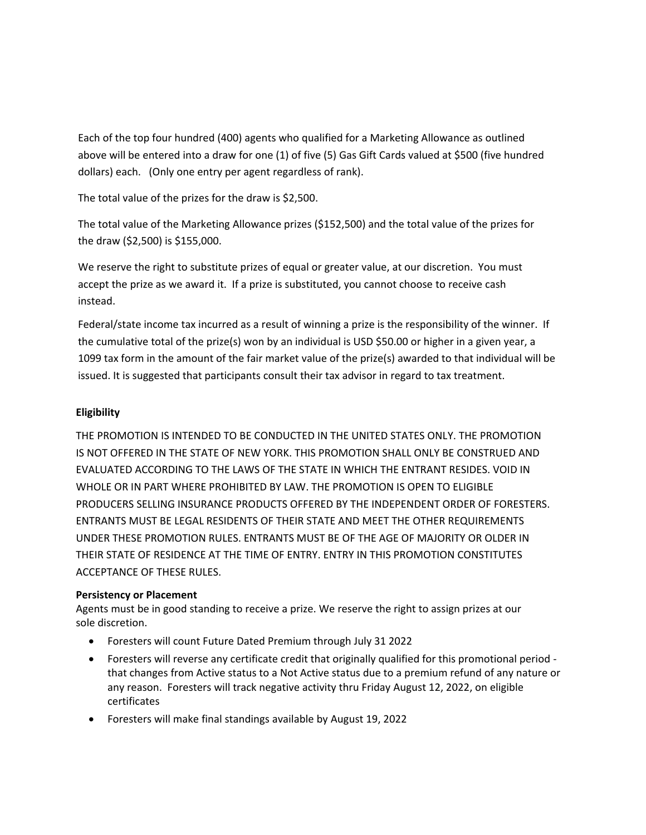Each of the top four hundred (400) agents who qualified for a Marketing Allowance as outlined above will be entered into a draw for one (1) of five (5) Gas Gift Cards valued at \$500 (five hundred dollars) each. (Only one entry per agent regardless of rank).

The total value of the prizes for the draw is \$2,500.

The total value of the Marketing Allowance prizes (\$152,500) and the total value of the prizes for the draw (\$2,500) is \$155,000.

We reserve the right to substitute prizes of equal or greater value, at our discretion. You must accept the prize as we award it. If a prize is substituted, you cannot choose to receive cash instead.

Federal/state income tax incurred as a result of winning a prize is the responsibility of the winner. If the cumulative total of the prize(s) won by an individual is USD \$50.00 or higher in a given year, a 1099 tax form in the amount of the fair market value of the prize(s) awarded to that individual will be issued. It is suggested that participants consult their tax advisor in regard to tax treatment.

# **Eligibility**

THE PROMOTION IS INTENDED TO BE CONDUCTED IN THE UNITED STATES ONLY. THE PROMOTION IS NOT OFFERED IN THE STATE OF NEW YORK. THIS PROMOTION SHALL ONLY BE CONSTRUED AND EVALUATED ACCORDING TO THE LAWS OF THE STATE IN WHICH THE ENTRANT RESIDES. VOID IN WHOLE OR IN PART WHERE PROHIBITED BY LAW. THE PROMOTION IS OPEN TO ELIGIBLE PRODUCERS SELLING INSURANCE PRODUCTS OFFERED BY THE INDEPENDENT ORDER OF FORESTERS. ENTRANTS MUST BE LEGAL RESIDENTS OF THEIR STATE AND MEET THE OTHER REQUIREMENTS UNDER THESE PROMOTION RULES. ENTRANTS MUST BE OF THE AGE OF MAJORITY OR OLDER IN THEIR STATE OF RESIDENCE AT THE TIME OF ENTRY. ENTRY IN THIS PROMOTION CONSTITUTES ACCEPTANCE OF THESE RULES.

## **Persistency or Placement**

Agents must be in good standing to receive a prize. We reserve the right to assign prizes at our sole discretion.

- Foresters will count Future Dated Premium through July 31 2022
- Foresters will reverse any certificate credit that originally qualified for this promotional period that changes from Active status to a Not Active status due to a premium refund of any nature or any reason. Foresters will track negative activity thru Friday August 12, 2022, on eligible certificates
- Foresters will make final standings available by August 19, 2022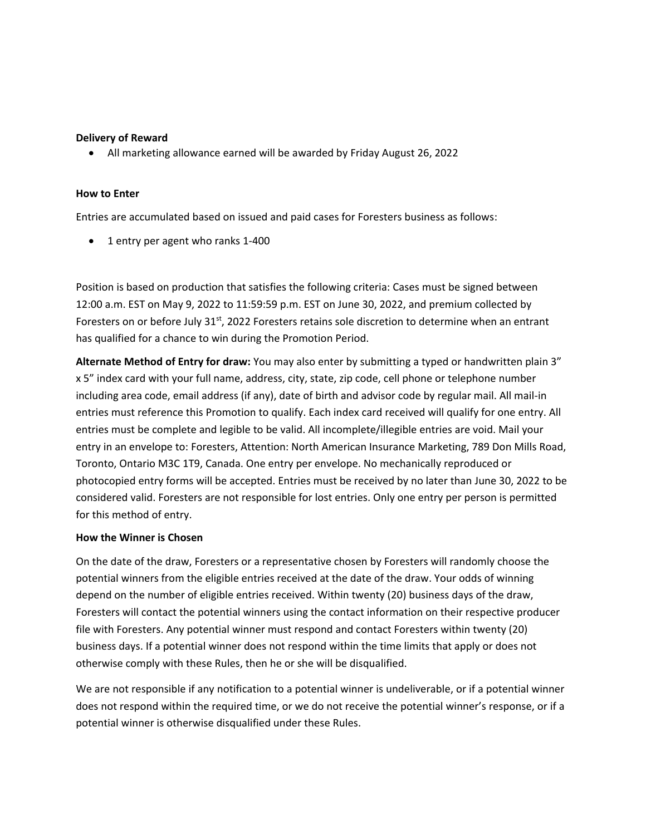### **Delivery of Reward**

• All marketing allowance earned will be awarded by Friday August 26, 2022

#### **How to Enter**

Entries are accumulated based on issued and paid cases for Foresters business as follows:

• 1 entry per agent who ranks 1-400

Position is based on production that satisfies the following criteria: Cases must be signed between 12:00 a.m. EST on May 9, 2022 to 11:59:59 p.m. EST on June 30, 2022, and premium collected by Foresters on or before July 31<sup>st</sup>, 2022 Foresters retains sole discretion to determine when an entrant has qualified for a chance to win during the Promotion Period.

**Alternate Method of Entry for draw:** You may also enter by submitting a typed or handwritten plain 3" x 5" index card with your full name, address, city, state, zip code, cell phone or telephone number including area code, email address (if any), date of birth and advisor code by regular mail. All mail-in entries must reference this Promotion to qualify. Each index card received will qualify for one entry. All entries must be complete and legible to be valid. All incomplete/illegible entries are void. Mail your entry in an envelope to: Foresters, Attention: North American Insurance Marketing, 789 Don Mills Road, Toronto, Ontario M3C 1T9, Canada. One entry per envelope. No mechanically reproduced or photocopied entry forms will be accepted. Entries must be received by no later than June 30, 2022 to be considered valid. Foresters are not responsible for lost entries. Only one entry per person is permitted for this method of entry.

#### **How the Winner is Chosen**

On the date of the draw, Foresters or a representative chosen by Foresters will randomly choose the potential winners from the eligible entries received at the date of the draw. Your odds of winning depend on the number of eligible entries received. Within twenty (20) business days of the draw, Foresters will contact the potential winners using the contact information on their respective producer file with Foresters. Any potential winner must respond and contact Foresters within twenty (20) business days. If a potential winner does not respond within the time limits that apply or does not otherwise comply with these Rules, then he or she will be disqualified.

We are not responsible if any notification to a potential winner is undeliverable, or if a potential winner does not respond within the required time, or we do not receive the potential winner's response, or if a potential winner is otherwise disqualified under these Rules.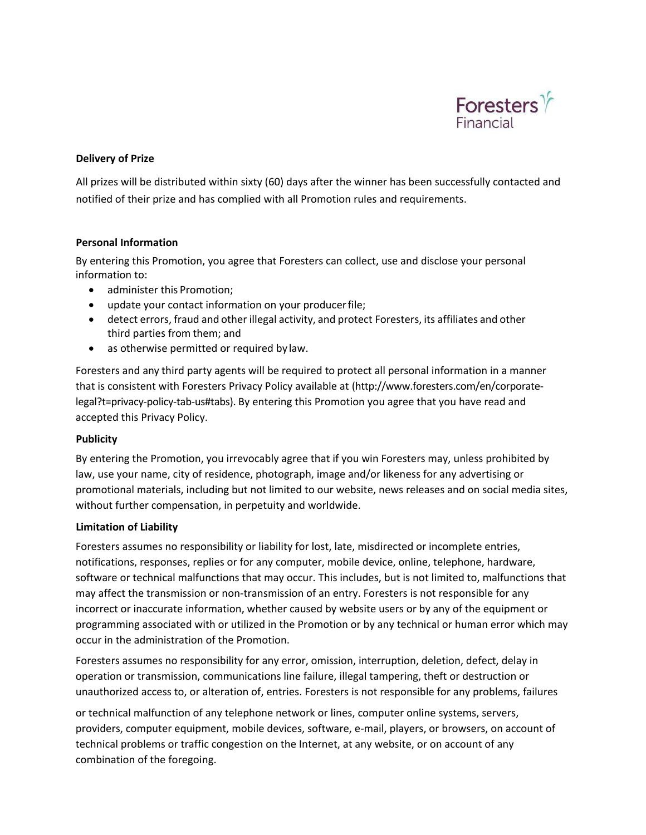

## **Delivery of Prize**

All prizes will be distributed within sixty (60) days after the winner has been successfully contacted and notified of their prize and has complied with all Promotion rules and requirements.

## **Personal Information**

By entering this Promotion, you agree that Foresters can collect, use and disclose your personal information to:

- administer this Promotion;
- update your contact information on your producerfile;
- detect errors, fraud and other illegal activity, and protect Foresters, its affiliates and other third parties from them; and
- as otherwise permitted or required by law.

Foresters and any third party agents will be required to protect all personal information in a manner that is consistent with Foresters Privacy Policy available at [\(http://www.foresters.com/en/corporate‐](http://www.foresters.com/en/corporate-) legal?t=privacy‐policy‐tab‐us#tabs). By entering this Promotion you agree that you have read and accepted this Privacy Policy.

#### **Publicity**

By entering the Promotion, you irrevocably agree that if you win Foresters may, unless prohibited by law, use your name, city of residence, photograph, image and/or likeness for any advertising or promotional materials, including but not limited to our website, news releases and on social media sites, without further compensation, in perpetuity and worldwide.

## **Limitation of Liability**

Foresters assumes no responsibility or liability for lost, late, misdirected or incomplete entries, notifications, responses, replies or for any computer, mobile device, online, telephone, hardware, software or technical malfunctions that may occur. This includes, but is not limited to, malfunctions that may affect the transmission or non-transmission of an entry. Foresters is not responsible for any incorrect or inaccurate information, whether caused by website users or by any of the equipment or programming associated with or utilized in the Promotion or by any technical or human error which may occur in the administration of the Promotion.

Foresters assumes no responsibility for any error, omission, interruption, deletion, defect, delay in operation or transmission, communications line failure, illegal tampering, theft or destruction or unauthorized access to, or alteration of, entries. Foresters is not responsible for any problems, failures

or technical malfunction of any telephone network or lines, computer online systems, servers, providers, computer equipment, mobile devices, software, e‐mail, players, or browsers, on account of technical problems or traffic congestion on the Internet, at any website, or on account of any combination of the foregoing.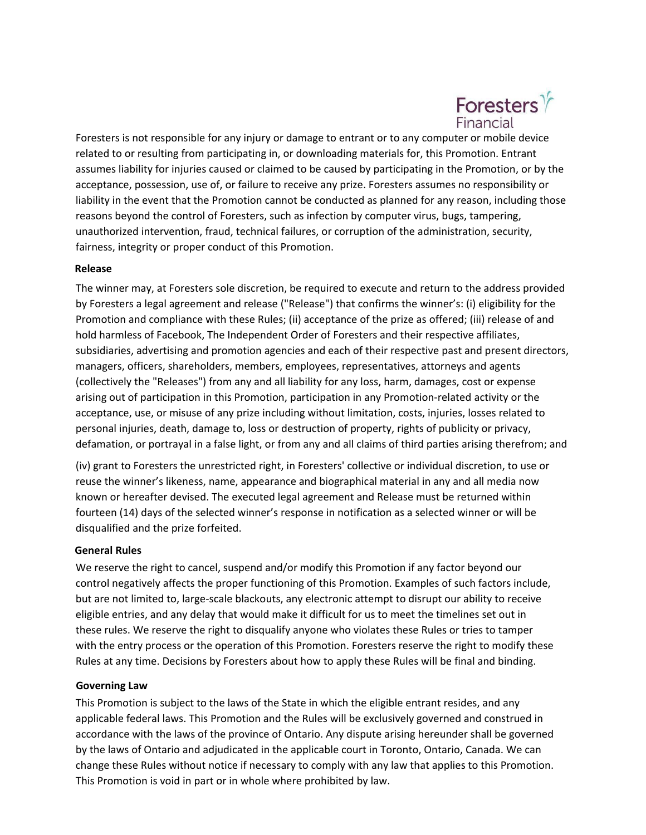

Foresters is not responsible for any injury or damage to entrant or to any computer or mobile device related to or resulting from participating in, or downloading materials for, this Promotion. Entrant assumes liability for injuries caused or claimed to be caused by participating in the Promotion, or by the acceptance, possession, use of, or failure to receive any prize. Foresters assumes no responsibility or liability in the event that the Promotion cannot be conducted as planned for any reason, including those reasons beyond the control of Foresters, such as infection by computer virus, bugs, tampering, unauthorized intervention, fraud, technical failures, or corruption of the administration, security, fairness, integrity or proper conduct of this Promotion.

## **Release**

The winner may, at Foresters sole discretion, be required to execute and return to the address provided by Foresters a legal agreement and release ("Release") that confirms the winner's: (i) eligibility for the Promotion and compliance with these Rules; (ii) acceptance of the prize as offered; (iii) release of and hold harmless of Facebook, The Independent Order of Foresters and their respective affiliates, subsidiaries, advertising and promotion agencies and each of their respective past and present directors, managers, officers, shareholders, members, employees, representatives, attorneys and agents (collectively the "Releases") from any and all liability for any loss, harm, damages, cost or expense arising out of participation in this Promotion, participation in any Promotion‐related activity or the acceptance, use, or misuse of any prize including without limitation, costs, injuries, losses related to personal injuries, death, damage to, loss or destruction of property, rights of publicity or privacy, defamation, or portrayal in a false light, or from any and all claims of third parties arising therefrom; and

(iv) grant to Foresters the unrestricted right, in Foresters' collective or individual discretion, to use or reuse the winner's likeness, name, appearance and biographical material in any and all media now known or hereafter devised. The executed legal agreement and Release must be returned within fourteen (14) days of the selected winner's response in notification as a selected winner or will be disqualified and the prize forfeited.

#### **General Rules**

We reserve the right to cancel, suspend and/or modify this Promotion if any factor beyond our control negatively affects the proper functioning of this Promotion. Examples of such factors include, but are not limited to, large‐scale blackouts, any electronic attempt to disrupt our ability to receive eligible entries, and any delay that would make it difficult for us to meet the timelines set out in these rules. We reserve the right to disqualify anyone who violates these Rules or tries to tamper with the entry process or the operation of this Promotion. Foresters reserve the right to modify these Rules at any time. Decisions by Foresters about how to apply these Rules will be final and binding.

#### **Governing Law**

This Promotion is subject to the laws of the State in which the eligible entrant resides, and any applicable federal laws. This Promotion and the Rules will be exclusively governed and construed in accordance with the laws of the province of Ontario. Any dispute arising hereunder shall be governed by the laws of Ontario and adjudicated in the applicable court in Toronto, Ontario, Canada. We can change these Rules without notice if necessary to comply with any law that applies to this Promotion. This Promotion is void in part or in whole where prohibited by law.